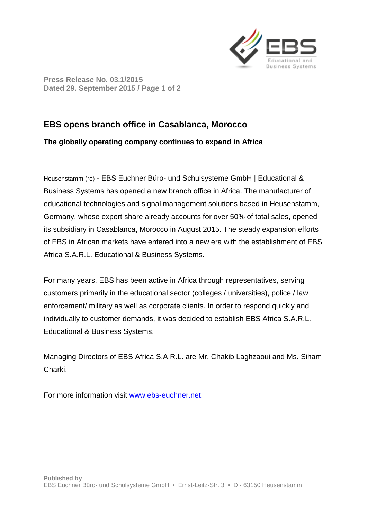

**Press Release No. 03.1/2015 Dated 29. September 2015 / Page 1 of 2** 

## **EBS opens branch office in Casablanca, Morocco**

## **The globally operating company continues to expand in Africa**

Heusenstamm (re) - EBS Euchner Büro- und Schulsysteme GmbH | Educational & Business Systems has opened a new branch office in Africa. The manufacturer of educational technologies and signal management solutions based in Heusenstamm, Germany, whose export share already accounts for over 50% of total sales, opened its subsidiary in Casablanca, Morocco in August 2015. The steady expansion efforts of EBS in African markets have entered into a new era with the establishment of EBS Africa S.A.R.L. Educational & Business Systems.

For many years, EBS has been active in Africa through representatives, serving customers primarily in the educational sector (colleges / universities), police / law enforcement/ military as well as corporate clients. In order to respond quickly and individually to customer demands, it was decided to establish EBS Africa S.A.R.L. Educational & Business Systems.

Managing Directors of EBS Africa S.A.R.L. are Mr. Chakib Laghzaoui and Ms. Siham Charki.

For more information visit www.ebs-euchner.net.